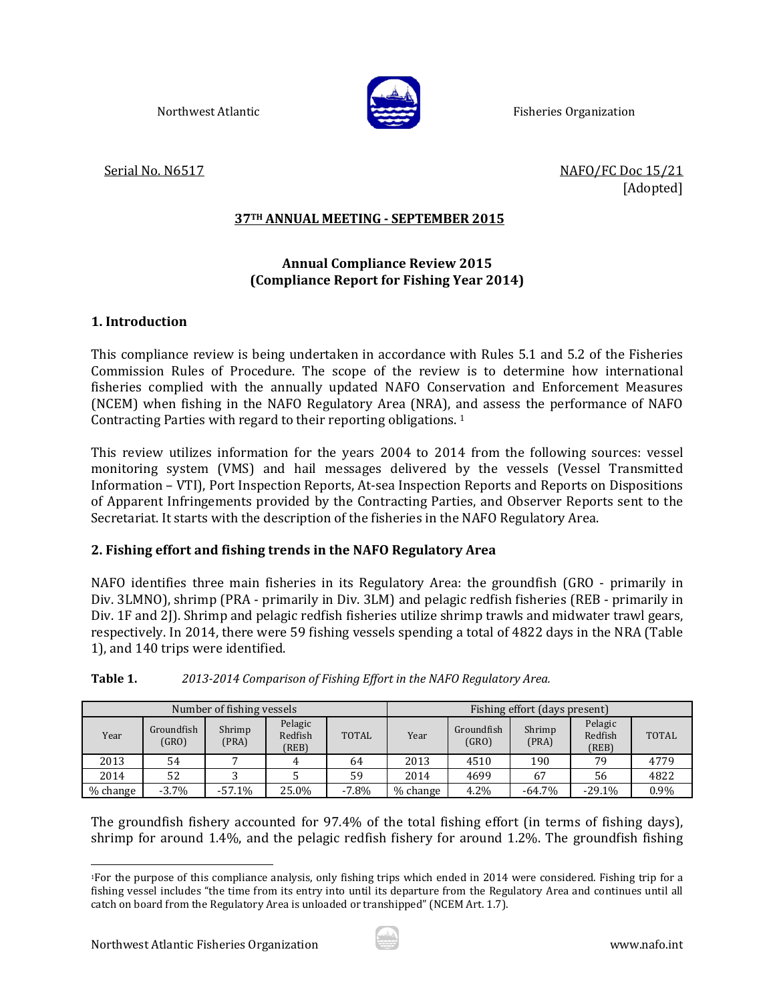

Northwest Atlantic **Extending Communist Communist Communist Communist Communist Communist Communist Communist Communist Communist Communist Communist Communist Communist Communist Communist Communist Communist Communist Co** 

Serial No. N6517 **Serial No. N6517 NAFO/FC** Doc 15/21 [Adopted]

# **37TH ANNUAL MEETING ‐ SEPTEMBER 2015**

# **Annual Compliance Review 2015 (Compliance Report for Fishing Year 2014)**

## **1. Introduction**

This compliance review is being undertaken in accordance with Rules 5.1 and 5.2 of the Fisheries Commission Rules of Procedure. The scope of the review is to determine how international fisheries complied with the annually updated NAFO Conservation and Enforcement Measures (NCEM) when fishing in the NAFO Regulatory Area (NRA), and assess the performance of NAFO Contracting Parties with regard to their reporting obligations.  $1$ 

This review utilizes information for the years 2004 to 2014 from the following sources: vessel monitoring system (VMS) and hail messages delivered by the vessels (Vessel Transmitted Information – VTI), Port Inspection Reports, At-sea Inspection Reports and Reports on Dispositions of Apparent Infringements provided by the Contracting Parties, and Observer Reports sent to the Secretariat. It starts with the description of the fisheries in the NAFO Regulatory Area.

# **2. Fishing effort and fishing trends in the NAFO Regulatory Area**

NAFO identifies three main fisheries in its Regulatory Area: the groundfish (GRO - primarily in Div. 3LMNO), shrimp (PRA - primarily in Div. 3LM) and pelagic redfish fisheries (REB - primarily in Div. 1F and 2J). Shrimp and pelagic redfish fisheries utilize shrimp trawls and midwater trawl gears, respectively. In 2014, there were 59 fishing vessels spending a total of 4822 days in the NRA (Table 1), and 140 trips were identified.

|          |                     | Number of fishing vessels                      |       |              | Fishing effort (days present)                                                 |      |           |              |      |
|----------|---------------------|------------------------------------------------|-------|--------------|-------------------------------------------------------------------------------|------|-----------|--------------|------|
| Year     | Groundfish<br>(GRO) | Pelagic<br>Shrimp<br>Redfish<br>(PRA)<br>(REB) |       | <b>TOTAL</b> | Pelagic<br>Groundfish<br>Shrimp<br>Redfish<br>Year<br>(GRO)<br>(PRA)<br>(REB) |      |           | <b>TOTAL</b> |      |
| 2013     | 54                  |                                                |       | 64           | 2013                                                                          | 4510 | 190       | 79           | 4779 |
| 2014     | 52                  |                                                |       | 59           | 2014                                                                          | 4699 | 67        | 56           | 4822 |
| % change | $-3.7\%$            | $-57.1%$                                       | 25.0% | $-7.8\%$     | $%$ change                                                                    | 4.2% | $-64.7\%$ | $-29.1%$     | 0.9% |

**Table 1.**  *2013‐2014 Comparison of Fishing Effort in the NAFO Regulatory Area.*

The groundfish fishery accounted for 97.4% of the total fishing effort (in terms of fishing days), shrimp for around 1.4%, and the pelagic redfish fishery for around 1.2%. The groundfish fishing



l <sup>1</sup>For the purpose of this compliance analysis, only fishing trips which ended in 2014 were considered. Fishing trip for a fishing vessel includes "the time from its entry into until its departure from the Regulatory Area and continues until all catch on board from the Regulatory Area is unloaded or transhipped" (NCEM Art. 1.7).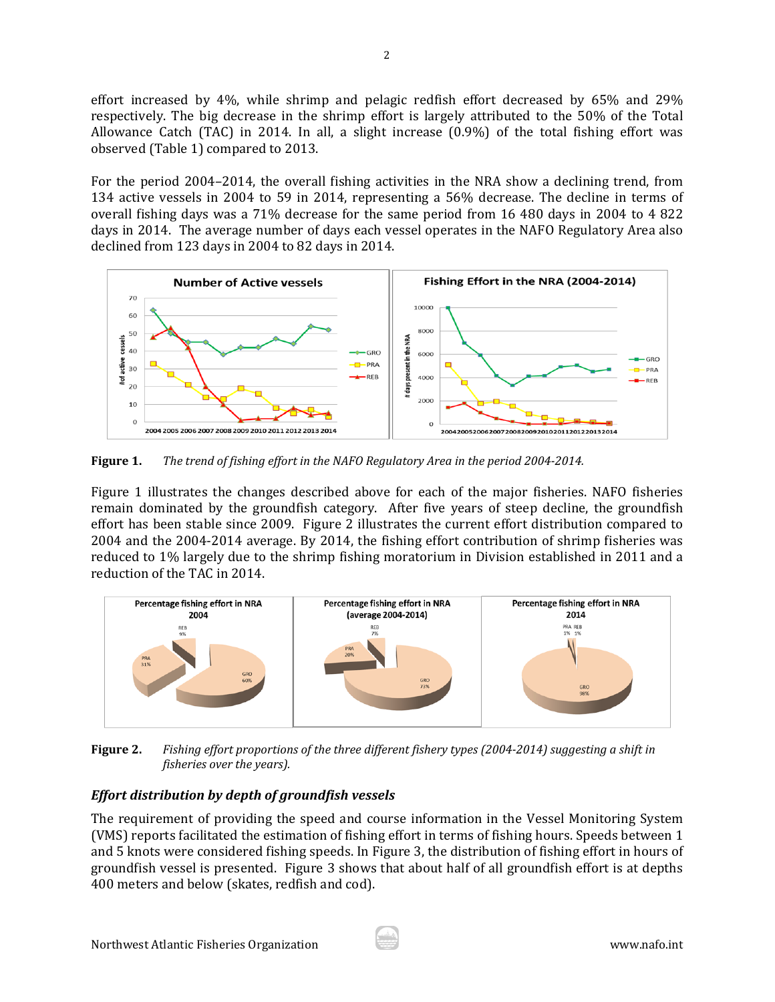effort increased by  $4\%$ , while shrimp and pelagic redfish effort decreased by  $65\%$  and  $29\%$ respectively. The big decrease in the shrimp effort is largely attributed to the 50% of the Total Allowance Catch (TAC) in 2014. In all, a slight increase  $(0.9\%)$  of the total fishing effort was observed (Table 1) compared to 2013.

For the period 2004–2014, the overall fishing activities in the NRA show a declining trend, from 134 active vessels in 2004 to 59 in 2014, representing a 56% decrease. The decline in terms of overall fishing days was a 71% decrease for the same period from 16 480 days in 2004 to 4 822 days in 2014. The average number of days each vessel operates in the NAFO Regulatory Area also declined from 123 days in 2004 to 82 days in 2014.



**Figure 1.** The trend of fishing effort in the NAFO Regulatory Area in the period 2004-2014.

Figure 1 illustrates the changes described above for each of the major fisheries. NAFO fisheries remain dominated by the groundfish category. After five years of steep decline, the groundfish effort has been stable since 2009. Figure 2 illustrates the current effort distribution compared to 2004 and the 2004–2014 average. By 2014, the fishing effort contribution of shrimp fisheries was reduced to 1% largely due to the shrimp fishing moratorium in Division established in 2011 and a reduction of the TAC in 2014.



Figure 2. Fishing effort proportions of the three different fishery types (2004-2014) suggesting a shift in *fisheries over the years).*

# *Effort distribution by depth of groundfish vessels*

The requirement of providing the speed and course information in the Vessel Monitoring System (VMS) reports facilitated the estimation of fishing effort in terms of fishing hours. Speeds between 1 and 5 knots were considered fishing speeds. In Figure 3, the distribution of fishing effort in hours of groundfish vessel is presented. Figure 3 shows that about half of all groundfish effort is at depths 400 meters and below (skates, redfish and cod).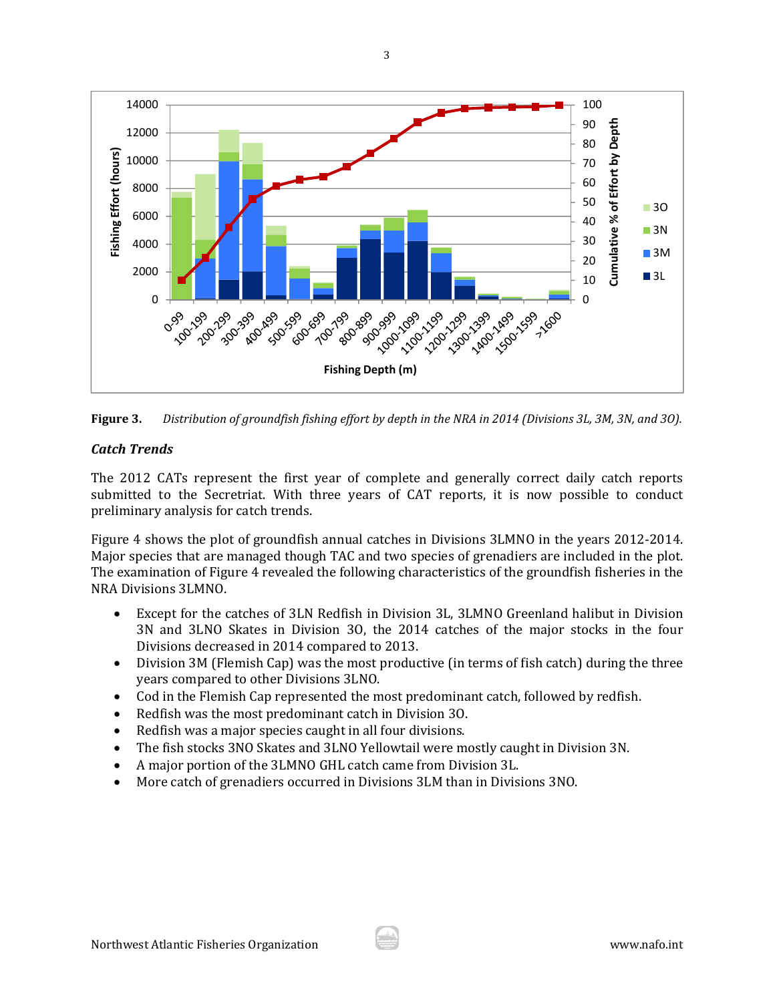



# *Catch Trends*

The 2012 CATs represent the first year of complete and generally correct daily catch reports submitted to the Secretriat. With three years of CAT reports, it is now possible to conduct preliminary analysis for catch trends.

Figure 4 shows the plot of groundfish annual catches in Divisions 3LMNO in the years 2012-2014. Major species that are managed though TAC and two species of grenadiers are included in the plot. The examination of Figure 4 revealed the following characteristics of the groundfish fisheries in the NRA Divisions 3LMNO. 

- Except for the catches of 3LN Redfish in Division 3L, 3LMNO Greenland halibut in Division 3N and 3LNO Skates in Division 30, the 2014 catches of the major stocks in the four Divisions decreased in 2014 compared to 2013.
- Division 3M (Flemish Cap) was the most productive (in terms of fish catch) during the three years compared to other Divisions 3LNO.
- Cod in the Flemish Cap represented the most predominant catch, followed by redfish.
- Redfish was the most predominant catch in Division 30.
- Redfish was a major species caught in all four divisions.
- The fish stocks 3NO Skates and 3LNO Yellowtail were mostly caught in Division 3N.
- A major portion of the 3LMNO GHL catch came from Division 3L.
- More catch of grenadiers occurred in Divisions 3LM than in Divisions 3NO.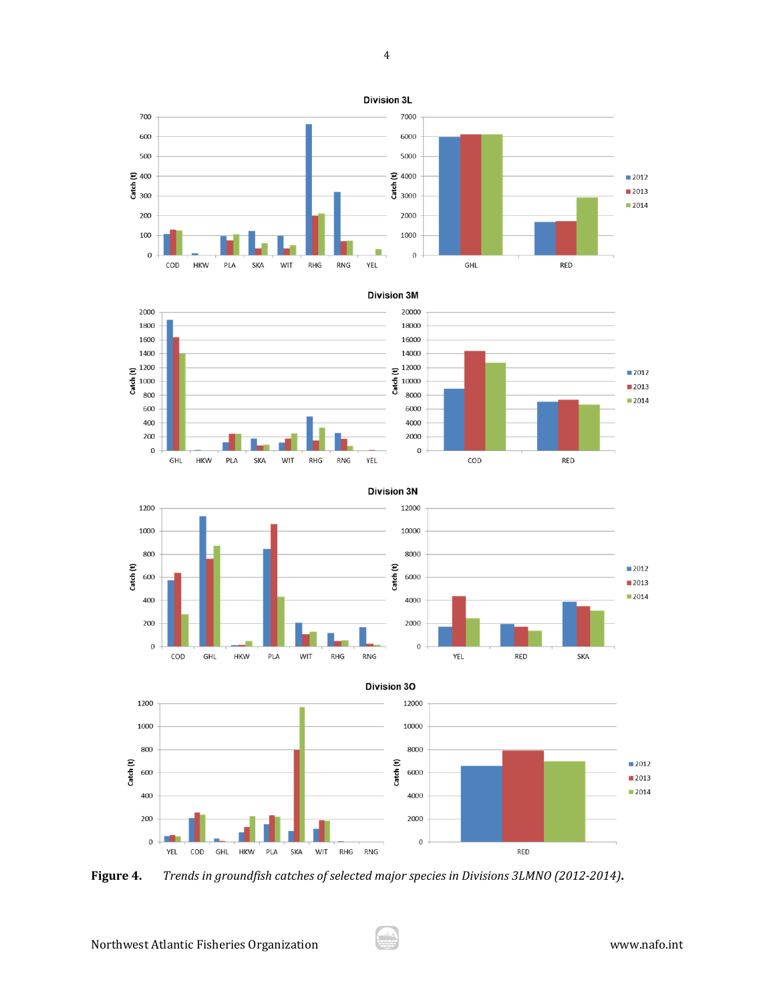Division 3L















**Figure 4.** *Trends in groundfish catches of selected major species in Divisions 3LMNO (2012‐2014)***.**

 $2012$ 

■2013  $2014$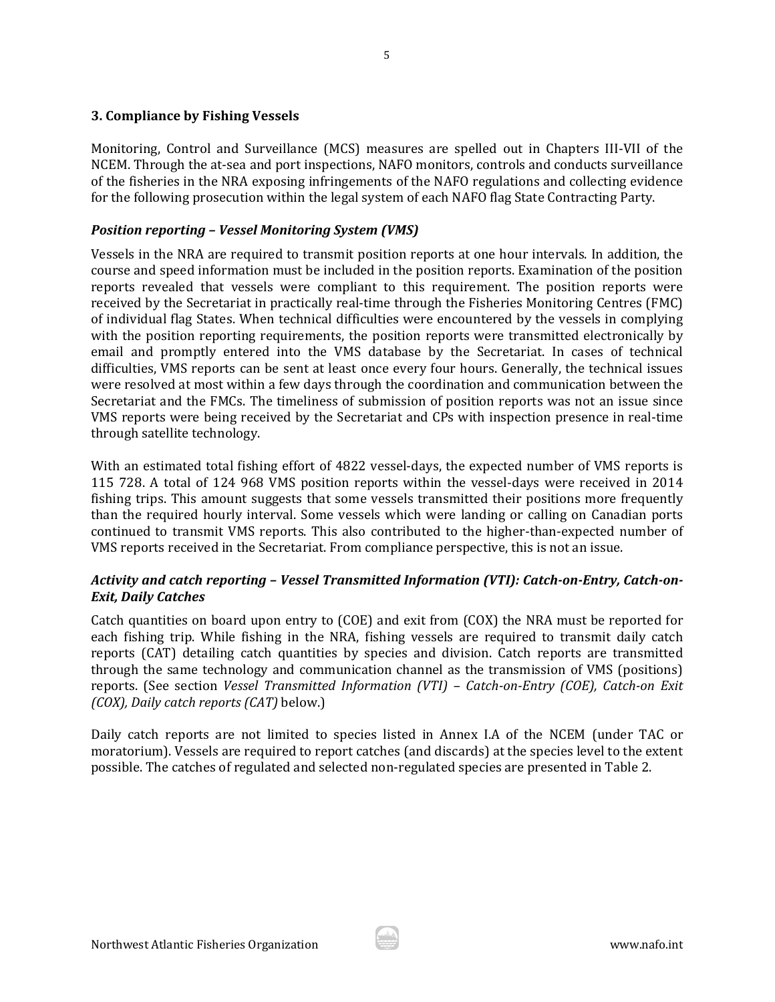### **3. Compliance by Fishing Vessels**

Monitoring, Control and Surveillance (MCS) measures are spelled out in Chapters III-VII of the NCEM. Through the at-sea and port inspections, NAFO monitors, controls and conducts surveillance of the fisheries in the NRA exposing infringements of the NAFO regulations and collecting evidence for the following prosecution within the legal system of each NAFO flag State Contracting Party.

# *Position reporting – Vessel Monitoring System (VMS)*

Vessels in the NRA are required to transmit position reports at one hour intervals. In addition, the course and speed information must be included in the position reports. Examination of the position reports revealed that vessels were compliant to this requirement. The position reports were received by the Secretariat in practically real-time through the Fisheries Monitoring Centres (FMC) of individual flag States. When technical difficulties were encountered by the vessels in complying with the position reporting requirements, the position reports were transmitted electronically by email and promptly entered into the VMS database by the Secretariat. In cases of technical difficulties, VMS reports can be sent at least once every four hours. Generally, the technical issues were resolved at most within a few days through the coordination and communication between the Secretariat and the FMCs. The timeliness of submission of position reports was not an issue since VMS reports were being received by the Secretariat and CPs with inspection presence in real-time through satellite technology.

With an estimated total fishing effort of 4822 vessel-days, the expected number of VMS reports is 115 728. A total of 124 968 VMS position reports within the vessel-days were received in 2014 fishing trips. This amount suggests that some vessels transmitted their positions more frequently than the required hourly interval. Some vessels which were landing or calling on Canadian ports continued to transmit VMS reports. This also contributed to the higher-than-expected number of VMS reports received in the Secretariat. From compliance perspective, this is not an issue.

## *Activity and catch reporting – Vessel Transmitted Information (VTI): Catch‐on‐Entry, Catch‐on‐ Exit, Daily Catches*

Catch quantities on board upon entry to  $(COE)$  and exit from  $(COX)$  the NRA must be reported for each fishing trip. While fishing in the NRA, fishing vessels are required to transmit daily catch reports (CAT) detailing catch quantities by species and division. Catch reports are transmitted through the same technology and communication channel as the transmission of VMS (positions) reports. (See section *Vessel Transmitted Information (VTI) – Catch‐on‐Entry (COE), Catch‐on Exit (COX), Daily catch reports (CAT)* below.) 

Daily catch reports are not limited to species listed in Annex I.A of the NCEM (under TAC or moratorium). Vessels are required to report catches (and discards) at the species level to the extent possible. The catches of regulated and selected non-regulated species are presented in Table 2.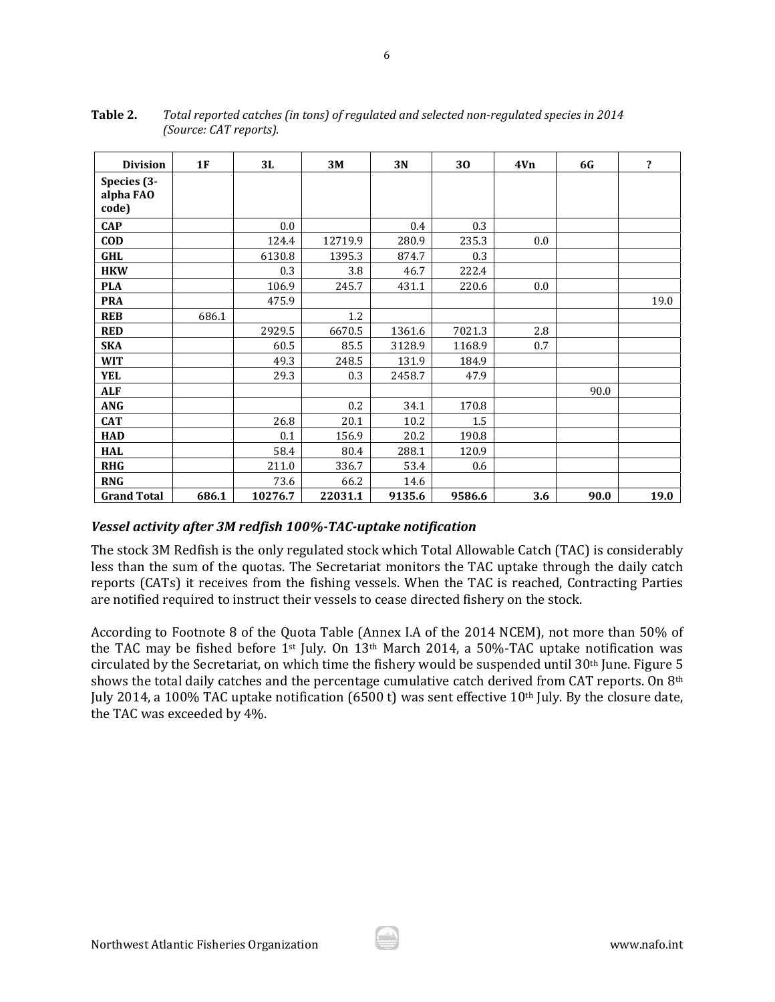| <b>Division</b>                   | 1F    | 3L      | 3M      | 3N     | 30     | 4V <sub>n</sub> | <b>6G</b> | $\overline{\mathbf{r}}$ |
|-----------------------------------|-------|---------|---------|--------|--------|-----------------|-----------|-------------------------|
| Species (3-<br>alpha FAO<br>code) |       |         |         |        |        |                 |           |                         |
| <b>CAP</b>                        |       | 0.0     |         | 0.4    | 0.3    |                 |           |                         |
| <b>COD</b>                        |       | 124.4   | 12719.9 | 280.9  | 235.3  | 0.0             |           |                         |
| <b>GHL</b>                        |       | 6130.8  | 1395.3  | 874.7  | 0.3    |                 |           |                         |
| <b>HKW</b>                        |       | 0.3     | 3.8     | 46.7   | 222.4  |                 |           |                         |
| <b>PLA</b>                        |       | 106.9   | 245.7   | 431.1  | 220.6  | 0.0             |           |                         |
| <b>PRA</b>                        |       | 475.9   |         |        |        |                 |           | 19.0                    |
| <b>REB</b>                        | 686.1 |         | 1.2     |        |        |                 |           |                         |
| <b>RED</b>                        |       | 2929.5  | 6670.5  | 1361.6 | 7021.3 | 2.8             |           |                         |
| <b>SKA</b>                        |       | 60.5    | 85.5    | 3128.9 | 1168.9 | 0.7             |           |                         |
| <b>WIT</b>                        |       | 49.3    | 248.5   | 131.9  | 184.9  |                 |           |                         |
| <b>YEL</b>                        |       | 29.3    | 0.3     | 2458.7 | 47.9   |                 |           |                         |
| <b>ALF</b>                        |       |         |         |        |        |                 | 90.0      |                         |
| <b>ANG</b>                        |       |         | 0.2     | 34.1   | 170.8  |                 |           |                         |
| <b>CAT</b>                        |       | 26.8    | 20.1    | 10.2   | 1.5    |                 |           |                         |
| <b>HAD</b>                        |       | 0.1     | 156.9   | 20.2   | 190.8  |                 |           |                         |
| <b>HAL</b>                        |       | 58.4    | 80.4    | 288.1  | 120.9  |                 |           |                         |
| <b>RHG</b>                        |       | 211.0   | 336.7   | 53.4   | 0.6    |                 |           |                         |
| <b>RNG</b>                        |       | 73.6    | 66.2    | 14.6   |        |                 |           |                         |
| <b>Grand Total</b>                | 686.1 | 10276.7 | 22031.1 | 9135.6 | 9586.6 | 3.6             | 90.0      | 19.0                    |

**Table 2.** *Total reported catches (in tons) of regulated and selected non‐regulated species in 2014 (Source: CAT reports).* 

### *Vessel activity after 3M redfish 100%‐TAC‐uptake notification*

The stock 3M Redfish is the only regulated stock which Total Allowable Catch (TAC) is considerably less than the sum of the quotas. The Secretariat monitors the TAC uptake through the daily catch reports (CATs) it receives from the fishing vessels. When the TAC is reached, Contracting Parties are notified required to instruct their vessels to cease directed fishery on the stock.

According to Footnote 8 of the Quota Table (Annex I.A of the 2014 NCEM), not more than 50% of the TAC may be fished before  $1^{st}$  July. On  $13^{th}$  March 2014, a 50%-TAC uptake notification was circulated by the Secretariat, on which time the fishery would be suspended until 30<sup>th</sup> June. Figure 5 shows the total daily catches and the percentage cumulative catch derived from CAT reports. On 8<sup>th</sup> July 2014, a 100% TAC uptake notification (6500 t) was sent effective 10<sup>th</sup> July. By the closure date, the TAC was exceeded by 4%.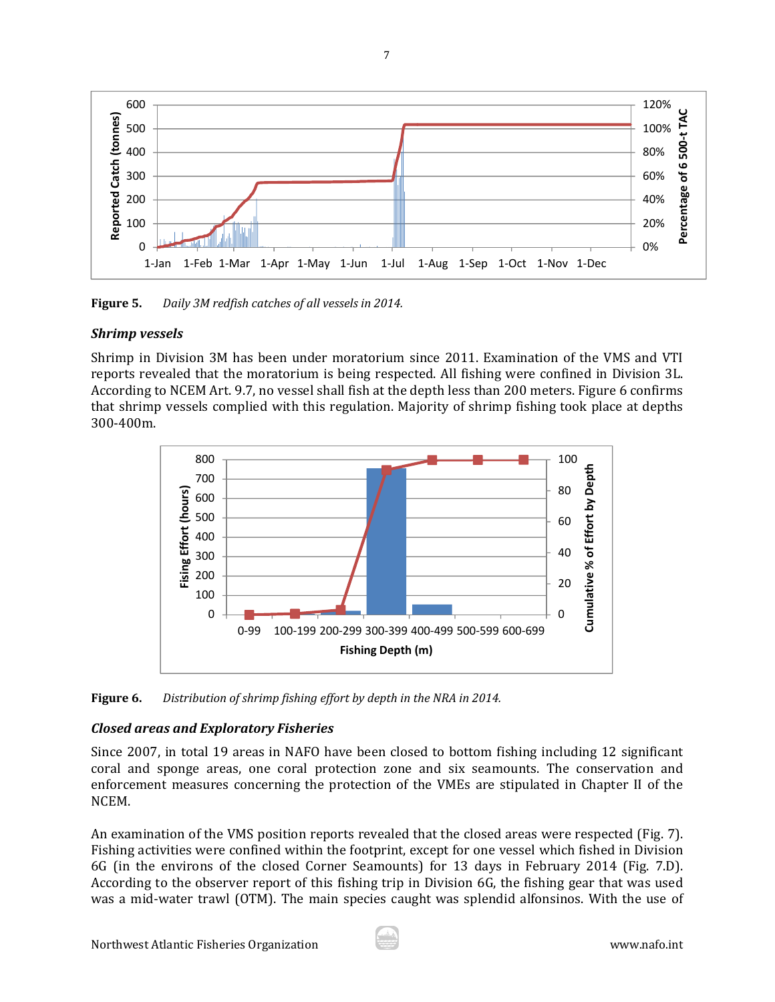

**Figure 5.** *Daily 3M redfish catches of all vessels in 2014.*

# *Shrimp vessels*

Shrimp in Division 3M has been under moratorium since 2011. Examination of the VMS and VTI reports revealed that the moratorium is being respected. All fishing were confined in Division 3L. According to NCEM Art. 9.7, no vessel shall fish at the depth less than 200 meters. Figure 6 confirms that shrimp vessels complied with this regulation. Majority of shrimp fishing took place at depths 300‐400m. 



**Figure 6.** *Distribution of shrimp fishing effort by depth in the NRA in 2014.* 

# *Closed areas and Exploratory Fisheries*

Since 2007, in total 19 areas in NAFO have been closed to bottom fishing including 12 significant coral and sponge areas, one coral protection zone and six seamounts. The conservation and enforcement measures concerning the protection of the VMEs are stipulated in Chapter II of the NCEM. 

An examination of the VMS position reports revealed that the closed areas were respected (Fig. 7). Fishing activities were confined within the footprint, except for one vessel which fished in Division 6G (in the environs of the closed Corner Seamounts) for 13 days in February 2014 (Fig. 7.D). According to the observer report of this fishing trip in Division  $6G$ , the fishing gear that was used was a mid-water trawl (OTM). The main species caught was splendid alfonsinos. With the use of

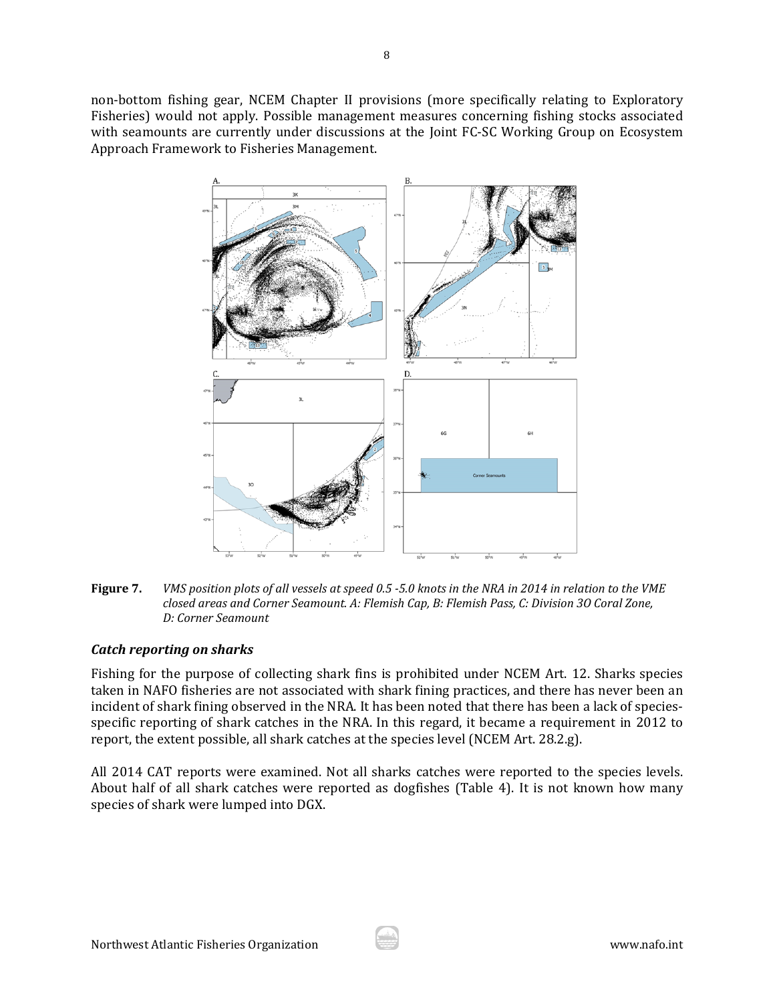non-bottom fishing gear, NCEM Chapter II provisions (more specifically relating to Exploratory Fisheries) would not apply. Possible management measures concerning fishing stocks associated with seamounts are currently under discussions at the Joint FC-SC Working Group on Ecosystem Approach Framework to Fisheries Management.



Figure 7. VMS position plots of all vessels at speed 0.5 -5.0 knots in the NRA in 2014 in relation to the VME *closed areas and Corner Seamount. A: Flemish Cap, B: Flemish Pass, C: Division 3O Coral Zone, D: Corner Seamount*

### *Catch reporting on sharks*

Fishing for the purpose of collecting shark fins is prohibited under NCEM Art. 12. Sharks species taken in NAFO fisheries are not associated with shark fining practices, and there has never been an incident of shark fining observed in the NRA. It has been noted that there has been a lack of speciesspecific reporting of shark catches in the NRA. In this regard, it became a requirement in 2012 to report, the extent possible, all shark catches at the species level (NCEM Art. 28.2.g).

All 2014 CAT reports were examined. Not all sharks catches were reported to the species levels. About half of all shark catches were reported as dogfishes (Table 4). It is not known how many species of shark were lumped into DGX.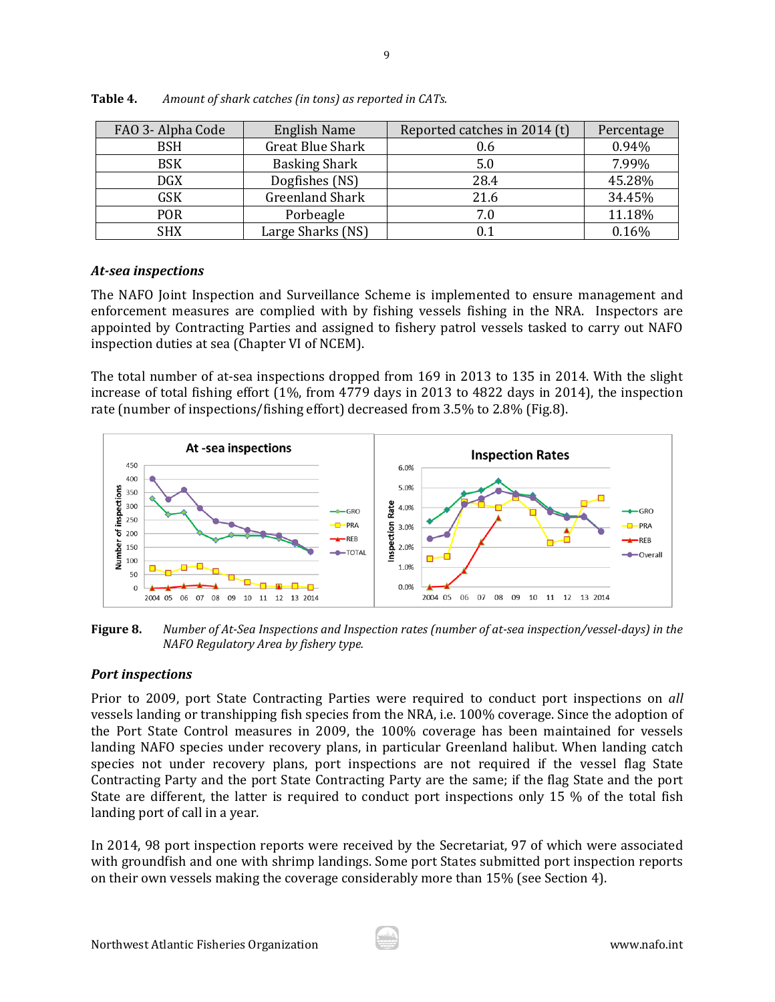| FAO 3- Alpha Code | <b>English Name</b>  | Reported catches in 2014 (t) | Percentage |
|-------------------|----------------------|------------------------------|------------|
| BSH               | Great Blue Shark     | 0.6                          | 0.94%      |
| <b>BSK</b>        | <b>Basking Shark</b> | 5.0                          | 7.99%      |
| <b>DGX</b>        | Dogfishes (NS)       | 28.4                         | 45.28%     |
| <b>GSK</b>        | Greenland Shark      | 21.6                         | 34.45%     |
| POR               | Porbeagle            | 7.0                          | 11.18%     |
| <b>SHX</b>        | Large Sharks (NS)    | $\rm 0.1$                    | 0.16%      |

**Table 4.** *Amount of shark catches (in tons) as reported in CATs.*

### *At‐sea inspections*

The NAFO Joint Inspection and Surveillance Scheme is implemented to ensure management and enforcement measures are complied with by fishing vessels fishing in the NRA. Inspectors are appointed by Contracting Parties and assigned to fishery patrol vessels tasked to carry out NAFO inspection duties at sea (Chapter VI of NCEM).

The total number of at-sea inspections dropped from  $169$  in  $2013$  to  $135$  in 2014. With the slight increase of total fishing effort  $(1\%,$  from 4779 days in 2013 to 4822 days in 2014), the inspection rate (number of inspections/fishing effort) decreased from 3.5% to 2.8% (Fig.8).



Figure 8. Number of At-Sea Inspections and Inspection rates (number of at-sea inspection/vessel-days) in the *NAFO Regulatory Area by fishery type.*

### *Port inspections*

Prior to 2009, port State Contracting Parties were required to conduct port inspections on *all* vessels landing or transhipping fish species from the NRA, i.e. 100% coverage. Since the adoption of the Port State Control measures in 2009, the 100% coverage has been maintained for vessels landing NAFO species under recovery plans, in particular Greenland halibut. When landing catch species not under recovery plans, port inspections are not required if the vessel flag State Contracting Party and the port State Contracting Party are the same; if the flag State and the port State are different, the latter is required to conduct port inspections only 15  $\%$  of the total fish landing port of call in a year.

In 2014, 98 port inspection reports were received by the Secretariat, 97 of which were associated with groundfish and one with shrimp landings. Some port States submitted port inspection reports on their own vessels making the coverage considerably more than  $15\%$  (see Section 4).

9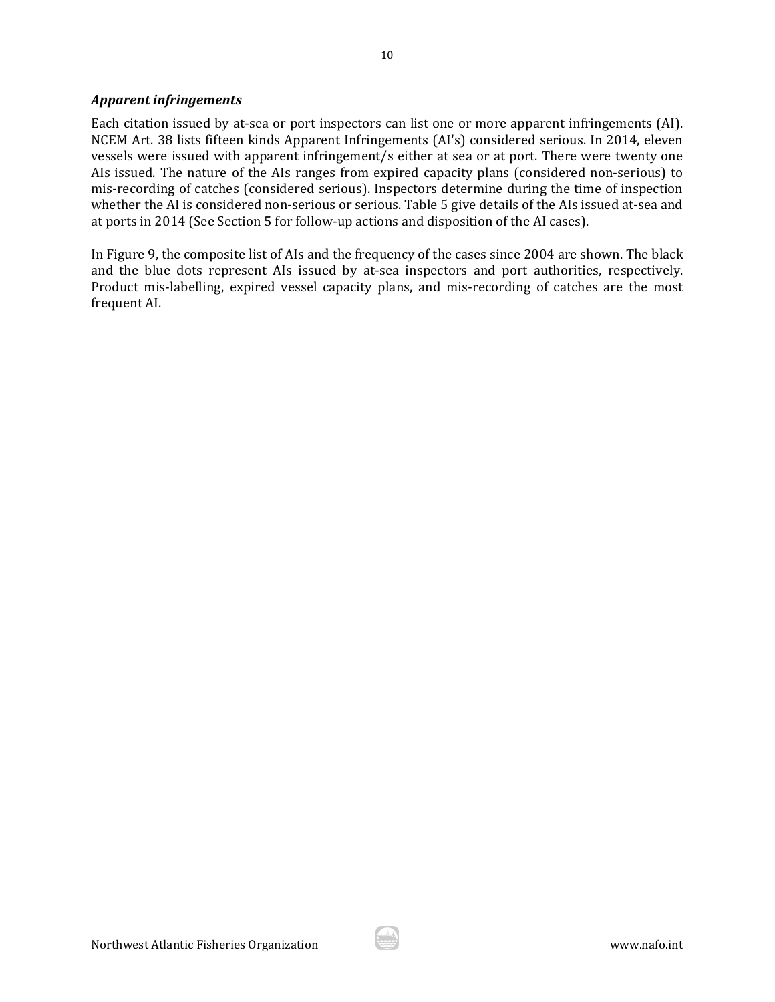### *Apparent infringements*

Each citation issued by at-sea or port inspectors can list one or more apparent infringements (AI). NCEM Art. 38 lists fifteen kinds Apparent Infringements (AI's) considered serious. In 2014, eleven vessels were issued with apparent infringement/s either at sea or at port. There were twenty one AIs issued. The nature of the AIs ranges from expired capacity plans (considered non-serious) to mis-recording of catches (considered serious). Inspectors determine during the time of inspection whether the AI is considered non-serious or serious. Table 5 give details of the AIs issued at-sea and at ports in 2014 (See Section 5 for follow-up actions and disposition of the AI cases).

In Figure 9, the composite list of AIs and the frequency of the cases since 2004 are shown. The black and the blue dots represent AIs issued by at-sea inspectors and port authorities, respectively. Product mis-labelling, expired vessel capacity plans, and mis-recording of catches are the most frequent AI.

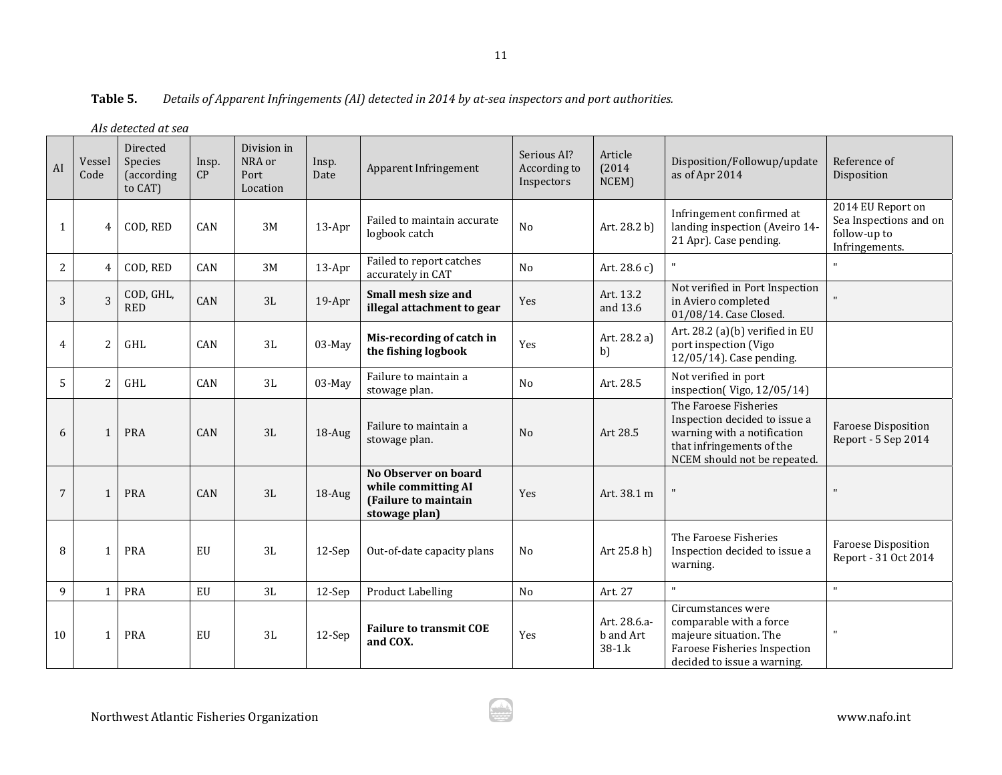|                | Als detected at sea |                                              |             |                                           |               |                                                                                      |                                                                                                                         |                                             |                                                                                                                                                    |                                                    |
|----------------|---------------------|----------------------------------------------|-------------|-------------------------------------------|---------------|--------------------------------------------------------------------------------------|-------------------------------------------------------------------------------------------------------------------------|---------------------------------------------|----------------------------------------------------------------------------------------------------------------------------------------------------|----------------------------------------------------|
| AI             | Vessel<br>Code      | Directed<br>Species<br>(according<br>to CAT) | Insp.<br>CP | Division in<br>NRA or<br>Port<br>Location | Insp.<br>Date | Apparent Infringement                                                                | Serious AI?<br>According to<br>Inspectors                                                                               | Article<br>(2014)<br>NCEM)                  | Disposition/Followup/update<br>as of Apr 2014                                                                                                      | Reference of<br>Disposition                        |
| 1              | 4                   | COD, RED                                     | CAN         | 3M                                        | 13-Apr        | Failed to maintain accurate<br>logbook catch                                         | Infringement confirmed at<br>landing inspection (Aveiro 14-<br>N <sub>o</sub><br>Art. 28.2 b)<br>21 Apr). Case pending. |                                             | 2014 EU Report on<br>Sea Inspections and on<br>follow-up to<br>Infringements.                                                                      |                                                    |
| $\overline{c}$ | $\overline{4}$      | COD, RED                                     | CAN         | 3M                                        | 13-Apr        | Failed to report catches<br>accurately in CAT                                        | N <sub>o</sub>                                                                                                          | Art. 28.6 c)                                |                                                                                                                                                    | $\mathbf{u}$                                       |
| 3              | 3                   | COD, GHL,<br><b>RED</b>                      | CAN         | 3L                                        | $19-Apr$      | Small mesh size and<br>illegal attachment to gear                                    | Yes                                                                                                                     | Art. 13.2<br>and 13.6                       | Not verified in Port Inspection<br>in Aviero completed<br>01/08/14. Case Closed.                                                                   | $\mathbf{H}$                                       |
| 4              | $\overline{c}$      | GHL                                          | CAN         | 3L                                        | 03-May        | Mis-recording of catch in<br>the fishing logbook                                     | Yes                                                                                                                     | Art. 28.2 a)<br>b)                          | Art. 28.2 (a)(b) verified in EU<br>port inspection (Vigo<br>12/05/14). Case pending.                                                               |                                                    |
| 5              | $\overline{2}$      | GHL                                          | CAN         | 3L                                        | 03-May        | Failure to maintain a<br>stowage plan.                                               | No                                                                                                                      | Art. 28.5                                   | Not verified in port<br>inspection(Vigo, 12/05/14)                                                                                                 |                                                    |
| 6              | 1                   | <b>PRA</b>                                   | CAN         | 3L                                        | 18-Aug        | Failure to maintain a<br>stowage plan.                                               | N <sub>o</sub>                                                                                                          | Art 28.5                                    | The Faroese Fisheries<br>Inspection decided to issue a<br>warning with a notification<br>that infringements of the<br>NCEM should not be repeated. | <b>Faroese Disposition</b><br>Report - 5 Sep 2014  |
| 7              | 1                   | PRA                                          | CAN         | 3L                                        | 18-Aug        | No Observer on board<br>while committing AI<br>(Failure to maintain<br>stowage plan) | Yes                                                                                                                     | Art. 38.1 m                                 |                                                                                                                                                    | $\mathbf{u}$                                       |
| 8              | 1                   | PRA                                          | EU          | 3L                                        | $12-Sep$      | Out-of-date capacity plans                                                           | N <sub>o</sub>                                                                                                          | Art 25.8 h)                                 | The Faroese Fisheries<br>Inspection decided to issue a<br>warning.                                                                                 | <b>Faroese Disposition</b><br>Report - 31 Oct 2014 |
| 9              | $\mathbf{1}$        | PRA                                          | ${\rm EU}$  | 3L                                        | $12-Sep$      | <b>Product Labelling</b>                                                             | No<br>Art. 27                                                                                                           |                                             |                                                                                                                                                    | $\mathbf{u}$                                       |
| 10             | 1                   | PRA                                          | EU          | 3L                                        | $12-Sep$      | <b>Failure to transmit COE</b><br>and COX.                                           | Yes                                                                                                                     | Art. 28.6.a-<br>b and Art<br>$38 - 1$ . $k$ | Circumstances were<br>comparable with a force<br>majeure situation. The<br>Faroese Fisheries Inspection<br>decided to issue a warning.             | $\pmb{\mathsf{H}}$                                 |

#### **Table5.** *Details of Apparent Infringements (AI) detected in 2014 by at‐sea inspectors and port authorities.*

11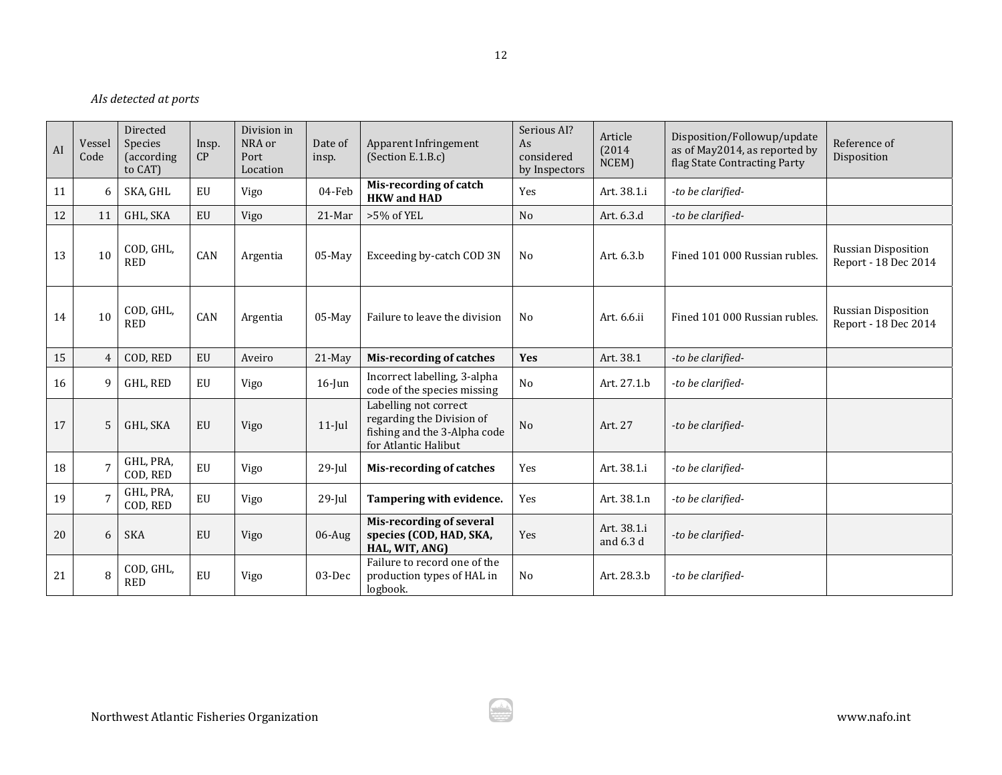### *AIs detected at ports*

| AI | Vessel<br>Code | Directed<br><b>Species</b><br>(according<br>to CAT) | Insp.<br>CP | Division in<br>NRA or<br>Port<br>Location | Date of<br>insp. | Apparent Infringement<br>(Section E.1.B.c)                                                                 | Serious AI?<br>As<br>considered<br>by Inspectors | Article<br>(2014)<br>NCEM) | Disposition/Followup/update<br>as of May2014, as reported by<br>flag State Contracting Party | Reference of<br>Disposition                        |
|----|----------------|-----------------------------------------------------|-------------|-------------------------------------------|------------------|------------------------------------------------------------------------------------------------------------|--------------------------------------------------|----------------------------|----------------------------------------------------------------------------------------------|----------------------------------------------------|
| 11 | 6              | SKA, GHL                                            | EU          | Vigo                                      | 04-Feb           | Mis-recording of catch<br><b>HKW</b> and <b>HAD</b>                                                        | Yes                                              | Art. 38.1.i                | -to be clarified-                                                                            |                                                    |
| 12 | 11             | GHL, SKA                                            | EU          | Vigo                                      | 21-Mar           | $>5\%$ of YEL                                                                                              | No                                               | Art. 6.3.d                 | -to be clarified-                                                                            |                                                    |
| 13 | 10             | COD, GHL,<br><b>RED</b>                             | CAN         | Argentia                                  | $05$ -May        | Exceeding by-catch COD 3N                                                                                  | No                                               | Art. 6.3.b                 | Fined 101 000 Russian rubles.                                                                | <b>Russian Disposition</b><br>Report - 18 Dec 2014 |
| 14 | 10             | COD, GHL,<br><b>RED</b>                             | CAN         | Argentia                                  | $05$ -May        | Failure to leave the division                                                                              | N <sub>0</sub>                                   | Art. 6.6.ii                | Fined 101 000 Russian rubles.                                                                | <b>Russian Disposition</b><br>Report - 18 Dec 2014 |
| 15 | $\overline{4}$ | COD, RED                                            | EU          | Aveiro                                    | $21$ -May        | <b>Mis-recording of catches</b>                                                                            | <b>Yes</b>                                       | Art. 38.1                  | -to be clarified-                                                                            |                                                    |
| 16 | 9              | GHL, RED                                            | EU          | Vigo                                      | $16$ -Jun        | Incorrect labelling, 3-alpha<br>code of the species missing                                                | N <sub>o</sub>                                   | Art. 27.1.b                | -to be clarified-                                                                            |                                                    |
| 17 | 5              | GHL, SKA                                            | EU          | Vigo                                      | $11$ -Jul        | Labelling not correct<br>regarding the Division of<br>fishing and the 3-Alpha code<br>for Atlantic Halibut | N <sub>o</sub>                                   | Art. 27                    | -to be clarified-                                                                            |                                                    |
| 18 | $\overline{7}$ | GHL, PRA,<br>COD, RED                               | EU          | Vigo                                      | $29$ -Jul        | <b>Mis-recording of catches</b>                                                                            | Yes                                              | Art. 38.1.i                | -to be clarified-                                                                            |                                                    |
| 19 | 7              | GHL, PRA,<br>COD, RED                               | EU          | Vigo                                      | $29$ -Jul        | Tampering with evidence.                                                                                   | Yes                                              | Art. 38.1.n                | -to be clarified-                                                                            |                                                    |
| 20 | 6              | <b>SKA</b>                                          | EU          | Vigo                                      | $06$ -Aug        | <b>Mis-recording of several</b><br>species (COD, HAD, SKA,<br>HAL, WIT, ANG)                               | Yes                                              | Art. 38.1.i<br>and 6.3 d   | -to be clarified-                                                                            |                                                    |
| 21 | 8              | COD, GHL,<br><b>RED</b>                             | EU          | Vigo                                      | 03-Dec           | Failure to record one of the<br>production types of HAL in<br>logbook.                                     | No                                               | Art. 28.3.b                | -to be clarified-                                                                            |                                                    |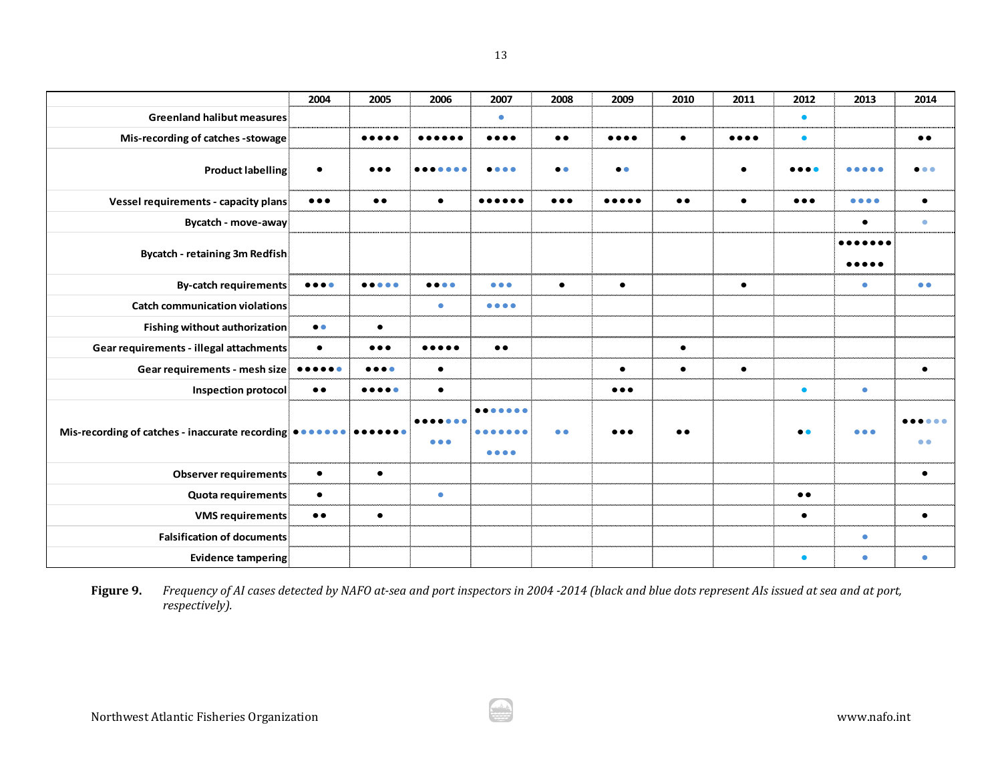|                                                 | 2004                                         | 2005                                  | 2006                                  | 2007                                         | 2008                    | 2009                                  | 2010      | 2011                           | 2012                    | 2013                           | 2014             |
|-------------------------------------------------|----------------------------------------------|---------------------------------------|---------------------------------------|----------------------------------------------|-------------------------|---------------------------------------|-----------|--------------------------------|-------------------------|--------------------------------|------------------|
| <b>Greenland halibut measures</b>               |                                              |                                       |                                       | $\bullet$                                    |                         |                                       |           |                                | $\bullet$               |                                |                  |
| Mis-recording of catches -stowage               |                                              | $\bullet\bullet\bullet\bullet\bullet$ |                                       | $\bullet\bullet\bullet\bullet$               | $\bullet\bullet$        | $\bullet\bullet\bullet\bullet$        | $\bullet$ | $\bullet\bullet\bullet\bullet$ | $\bullet$               |                                | $\bullet\bullet$ |
| <b>Product labelling</b>                        | $\bullet$                                    |                                       |                                       |                                              | $\bullet\bullet$        | $\bullet$                             |           | $\bullet$                      |                         |                                |                  |
| Vessel requirements - capacity plans            | $\bullet\bullet\bullet$                      | $\bullet\bullet$                      | $\bullet$                             | $\bullet\bullet\bullet\bullet\bullet\bullet$ | $\bullet\bullet\bullet$ | $\bullet\bullet\bullet\bullet\bullet$ | $\bullet$ | $\bullet$                      | $\bullet\bullet\bullet$ | $\bullet\bullet\bullet\bullet$ | $\bullet$        |
| <b>Bycatch - move-away</b>                      |                                              |                                       |                                       |                                              |                         |                                       |           |                                |                         | $\bullet$                      | $\bullet$        |
|                                                 |                                              |                                       |                                       |                                              |                         |                                       |           |                                |                         |                                |                  |
| <b>Bycatch - retaining 3m Redfish</b>           |                                              |                                       |                                       |                                              |                         |                                       |           |                                |                         |                                |                  |
| <b>By-catch requirements</b>                    | $\bullet\bullet\bullet\bullet$               | $\bullet\bullet\bullet\bullet\bullet$ | $\bullet\bullet\bullet\bullet$        | $\bullet\bullet\bullet$                      | $\bullet$               | $\bullet$                             |           | $\bullet$                      |                         | $\bullet$                      | $\bullet$        |
| <b>Catch communication violations</b>           |                                              |                                       | $\bullet$                             | $\bullet\bullet\bullet\bullet$               |                         |                                       |           |                                |                         |                                |                  |
| <b>Fishing without authorization</b>            | $\bullet\bullet$                             | $\bullet$                             |                                       |                                              |                         |                                       |           |                                |                         |                                |                  |
| Gear requirements - illegal attachments         | $\bullet$                                    | $\bullet\bullet\bullet$               | $\bullet\bullet\bullet\bullet\bullet$ | $\bullet\bullet$                             |                         |                                       | $\bullet$ |                                |                         |                                |                  |
| Gear requirements - mesh size                   | $\bullet\bullet\bullet\bullet\bullet\bullet$ | $\bullet\bullet\bullet\bullet$        | $\bullet$                             |                                              |                         | $\bullet$                             | $\bullet$ | $\bullet$                      |                         |                                | $\bullet$        |
| <b>Inspection protocol</b>                      | $\bullet\,\bullet$                           | $\bullet\bullet\bullet\bullet\bullet$ | $\bullet$                             |                                              |                         | $\bullet\bullet\bullet$               |           |                                | $\bullet$               | $\bullet$                      |                  |
| Mis-recording of catches - inaccurate recording |                                              |                                       |                                       |                                              | $\bullet$               |                                       | $\bullet$ |                                | $\bullet\bullet$        | $\bullet\bullet\bullet$        |                  |
|                                                 |                                              |                                       | $\bullet\bullet\bullet$               | .                                            |                         |                                       |           |                                |                         |                                | $\bullet$        |
| <b>Observer requirements</b>                    | $\bullet$                                    | $\bullet$                             |                                       |                                              |                         |                                       |           |                                |                         |                                | $\bullet$        |
| Quota requirements                              | $\bullet$                                    |                                       | $\bullet$                             |                                              |                         |                                       |           |                                | $\bullet\,\bullet$      |                                |                  |
| <b>VMS requirements</b>                         | $\bullet\,\bullet$                           | $\bullet$                             |                                       |                                              |                         |                                       |           |                                | $\bullet$               |                                | $\bullet$        |
| <b>Falsification of documents</b>               |                                              |                                       |                                       |                                              |                         |                                       |           |                                |                         | $\bullet$                      |                  |
| <b>Evidence tampering</b>                       |                                              |                                       |                                       |                                              |                         |                                       |           |                                | $\bullet$               | $\bullet$                      | $\bullet$        |

Figure 9. Frequency of AI cases detected by NAFO at-sea and port inspectors in 2004 -2014 (black and blue dots represent AIs issued at sea and at port, *respectively).*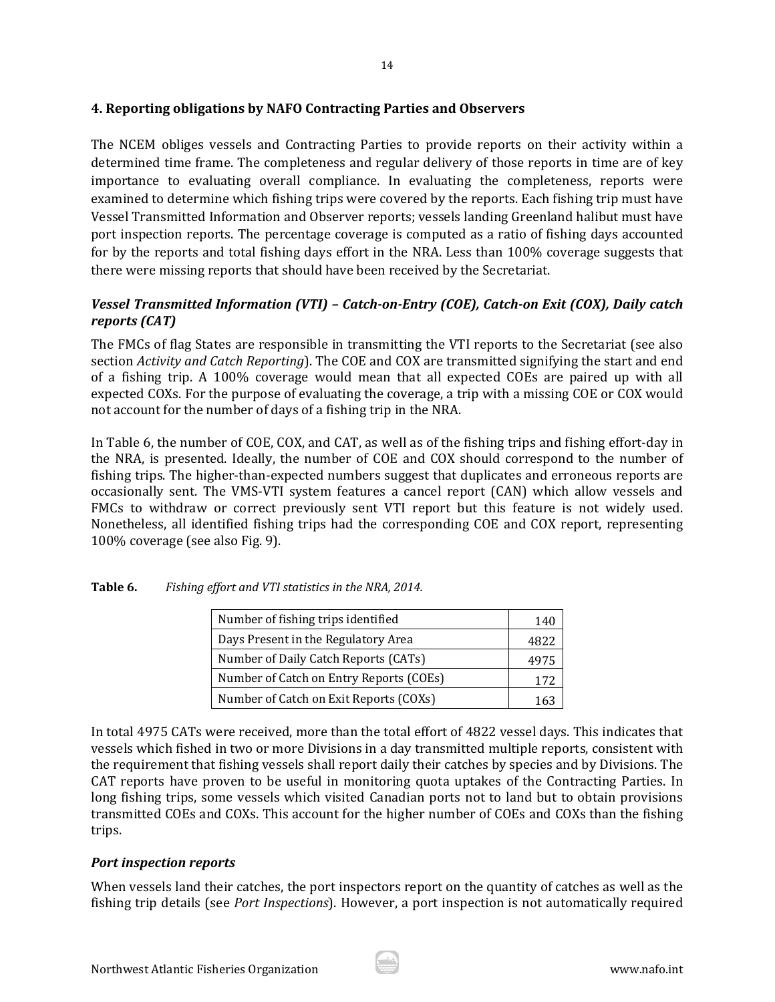## **4. Reporting obligations by NAFO Contracting Parties and Observers**

The NCEM obliges vessels and Contracting Parties to provide reports on their activity within a determined time frame. The completeness and regular delivery of those reports in time are of key importance to evaluating overall compliance. In evaluating the completeness, reports were examined to determine which fishing trips were covered by the reports. Each fishing trip must have Vessel Transmitted Information and Observer reports; vessels landing Greenland halibut must have port inspection reports. The percentage coverage is computed as a ratio of fishing days accounted for by the reports and total fishing days effort in the NRA. Less than 100% coverage suggests that there were missing reports that should have been received by the Secretariat.

# *Vessel Transmitted Information (VTI) – Catch‐on‐Entry (COE), Catch‐on Exit (COX), Daily catch reports (CAT)*

The FMCs of flag States are responsible in transmitting the VTI reports to the Secretariat (see also section *Activity* and *Catch Reporting*). The COE and COX are transmitted signifying the start and end of a fishing trip. A 100% coverage would mean that all expected COEs are paired up with all expected COXs. For the purpose of evaluating the coverage, a trip with a missing COE or COX would not account for the number of days of a fishing trip in the NRA.

In Table 6, the number of COE, COX, and CAT, as well as of the fishing trips and fishing effort-day in the NRA, is presented. Ideally, the number of COE and COX should correspond to the number of fishing trips. The higher-than-expected numbers suggest that duplicates and erroneous reports are occasionally sent. The VMS-VTI system features a cancel report (CAN) which allow vessels and FMCs to withdraw or correct previously sent VTI report but this feature is not widely used. Nonetheless, all identified fishing trips had the corresponding COE and COX report, representing 100% coverage (see also Fig. 9).

| Number of fishing trips identified      | 140  |
|-----------------------------------------|------|
| Days Present in the Regulatory Area     | 4822 |
| Number of Daily Catch Reports (CATs)    | 4975 |
| Number of Catch on Entry Reports (COEs) | 172  |
| Number of Catch on Exit Reports (COXs)  |      |

| Table 6. |  | Fishing effort and VTI statistics in the NRA, 2014. |  |
|----------|--|-----------------------------------------------------|--|
|          |  |                                                     |  |

In total 4975 CATs were received, more than the total effort of 4822 vessel days. This indicates that vessels which fished in two or more Divisions in a day transmitted multiple reports, consistent with the requirement that fishing vessels shall report daily their catches by species and by Divisions. The CAT reports have proven to be useful in monitoring quota uptakes of the Contracting Parties. In long fishing trips, some vessels which visited Canadian ports not to land but to obtain provisions transmitted COEs and COXs. This account for the higher number of COEs and COXs than the fishing trips. 

### *Port inspection reports*

When vessels land their catches, the port inspectors report on the quantity of catches as well as the fishing trip details (see *Port Inspections*). However, a port inspection is not automatically required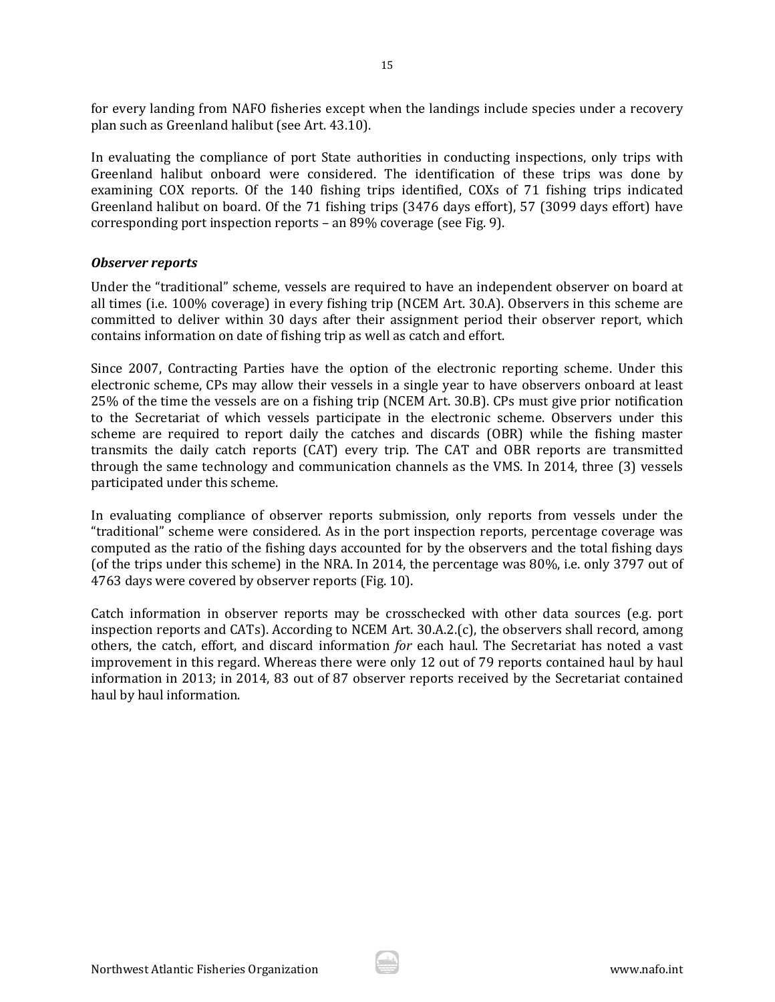for every landing from NAFO fisheries except when the landings include species under a recovery plan such as Greenland halibut (see Art. 43.10).

In evaluating the compliance of port State authorities in conducting inspections, only trips with Greenland halibut onboard were considered. The identification of these trips was done by examining COX reports. Of the 140 fishing trips identified, COXs of 71 fishing trips indicated Greenland halibut on board. Of the 71 fishing trips (3476 days effort), 57 (3099 days effort) have corresponding port inspection reports – an  $89\%$  coverage (see Fig. 9).

### *Observer reports*

Under the "traditional" scheme, vessels are required to have an independent observer on board at all times (i.e. 100% coverage) in every fishing trip (NCEM Art. 30.A). Observers in this scheme are committed to deliver within 30 days after their assignment period their observer report, which contains information on date of fishing trip as well as catch and effort.

Since 2007, Contracting Parties have the option of the electronic reporting scheme. Under this electronic scheme, CPs may allow their vessels in a single year to have observers onboard at least 25% of the time the vessels are on a fishing trip (NCEM Art. 30.B). CPs must give prior notification to the Secretariat of which vessels participate in the electronic scheme. Observers under this scheme are required to report daily the catches and discards (OBR) while the fishing master transmits the daily catch reports (CAT) every trip. The CAT and OBR reports are transmitted through the same technology and communication channels as the VMS. In 2014, three (3) vessels participated under this scheme.

In evaluating compliance of observer reports submission, only reports from vessels under the "traditional" scheme were considered. As in the port inspection reports, percentage coverage was computed as the ratio of the fishing days accounted for by the observers and the total fishing days (of the trips under this scheme) in the NRA. In 2014, the percentage was 80%, i.e. only 3797 out of 4763 days were covered by observer reports (Fig. 10).

Catch information in observer reports may be crosschecked with other data sources (e.g. port inspection reports and CATs). According to NCEM Art. 30.A.2.(c), the observers shall record, among others, the catch, effort, and discard information *for* each haul. The Secretariat has noted a vast improvement in this regard. Whereas there were only 12 out of 79 reports contained haul by haul information in 2013; in 2014, 83 out of 87 observer reports received by the Secretariat contained haul by haul information.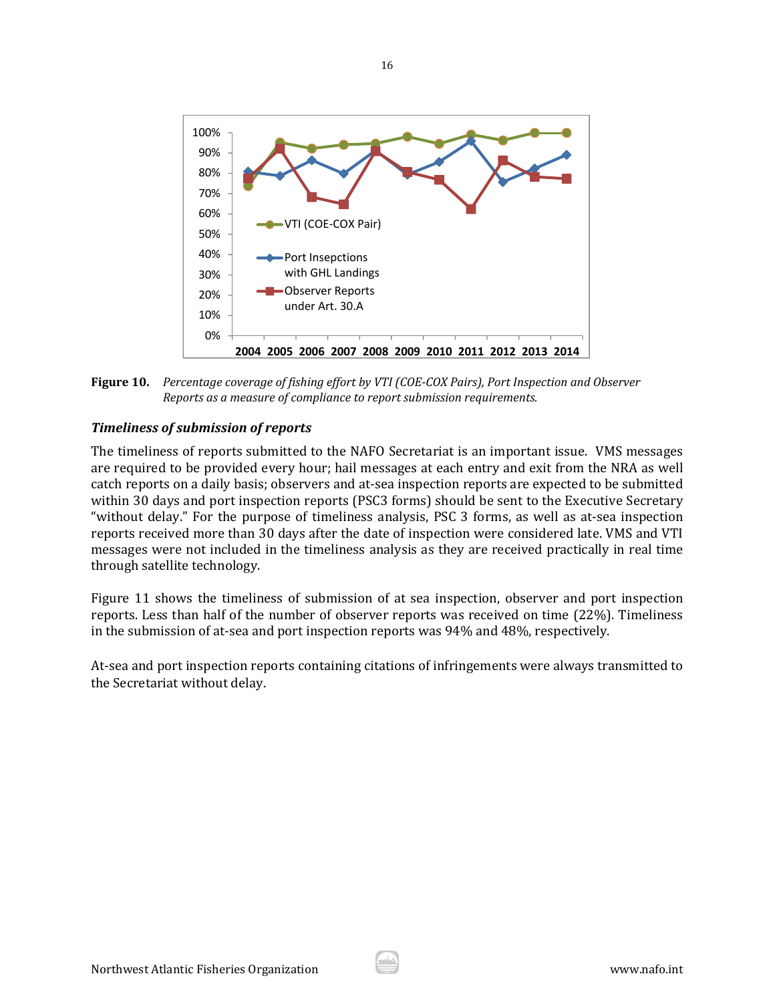

Figure 10. Percentage coverage of fishing effort by VTI (COE-COX Pairs), Port Inspection and Observer *Reports as a measure of compliance to report submission requirements.*

### *Timeliness of submission of reports*

The timeliness of reports submitted to the NAFO Secretariat is an important issue. VMS messages are required to be provided every hour; hail messages at each entry and exit from the NRA as well catch reports on a daily basis; observers and at-sea inspection reports are expected to be submitted within 30 days and port inspection reports (PSC3 forms) should be sent to the Executive Secretary "without delay." For the purpose of timeliness analysis, PSC 3 forms, as well as at-sea inspection reports received more than 30 days after the date of inspection were considered late. VMS and VTI messages were not included in the timeliness analysis as they are received practically in real time through satellite technology.

Figure 11 shows the timeliness of submission of at sea inspection, observer and port inspection reports. Less than half of the number of observer reports was received on time (22%). Timeliness in the submission of at-sea and port inspection reports was  $94\%$  and  $48\%$ , respectively.

At-sea and port inspection reports containing citations of infringements were always transmitted to the Secretariat without delay.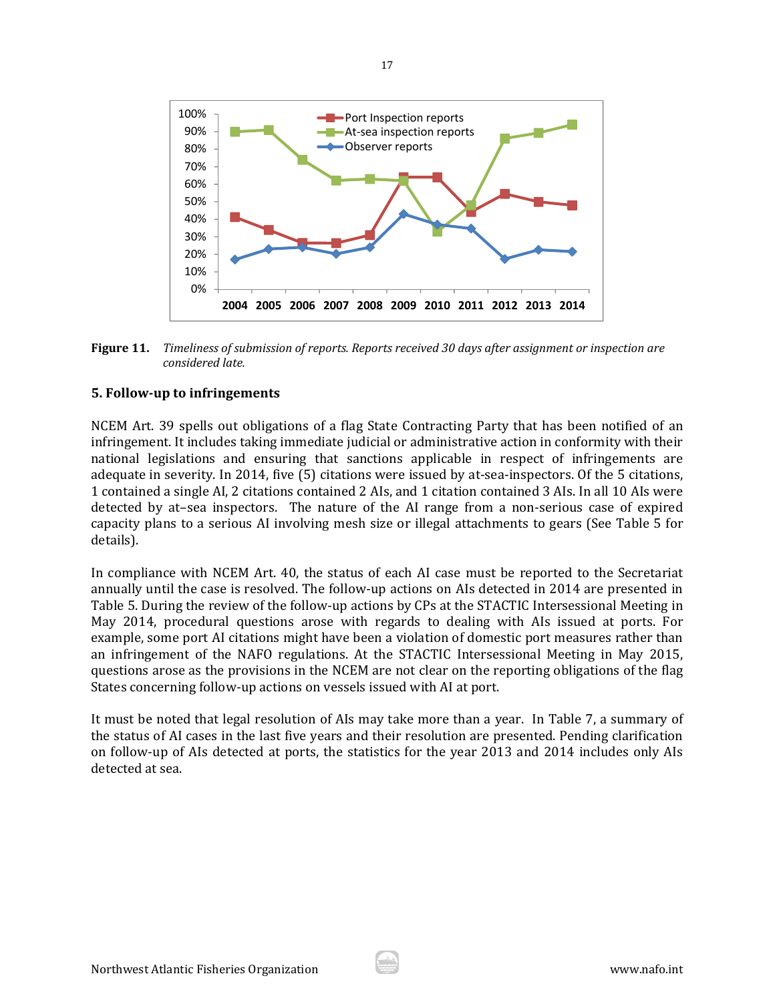

Figure 11. Timeliness of submission of reports. Reports received 30 days after assignment or inspection are *considered late.*

### **5. Follow‐up to infringements**

NCEM Art. 39 spells out obligations of a flag State Contracting Party that has been notified of an infringement. It includes taking immediate judicial or administrative action in conformity with their national legislations and ensuring that sanctions applicable in respect of infringements are adequate in severity. In 2014, five (5) citations were issued by at-sea-inspectors. Of the 5 citations, 1 contained a single AI, 2 citations contained 2 AIs, and 1 citation contained 3 AIs. In all 10 AIs were detected by at-sea inspectors. The nature of the AI range from a non-serious case of expired capacity plans to a serious AI involving mesh size or illegal attachments to gears (See Table 5 for details). 

In compliance with NCEM Art. 40, the status of each AI case must be reported to the Secretariat annually until the case is resolved. The follow-up actions on AIs detected in 2014 are presented in Table 5. During the review of the follow-up actions by CPs at the STACTIC Intersessional Meeting in May 2014, procedural questions arose with regards to dealing with AIs issued at ports. For example, some port AI citations might have been a violation of domestic port measures rather than an infringement of the NAFO regulations. At the STACTIC Intersessional Meeting in May 2015, questions arose as the provisions in the NCEM are not clear on the reporting obligations of the flag States concerning follow-up actions on vessels issued with AI at port.

It must be noted that legal resolution of AIs may take more than a year. In Table 7, a summary of the status of AI cases in the last five years and their resolution are presented. Pending clarification on follow-up of AIs detected at ports, the statistics for the year 2013 and 2014 includes only AIs detected at sea.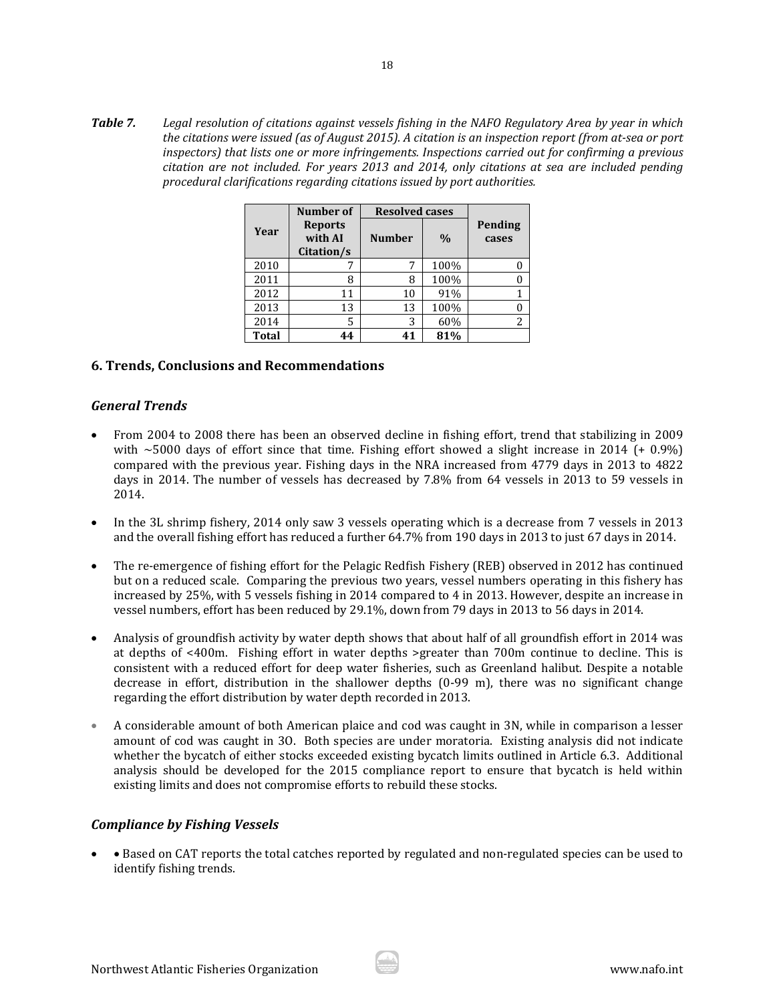**Table 7.** Legal resolution of citations against vessels fishing in the NAFO Regulatory Area by year in which the citations were issued (as of August 2015). A citation is an inspection report (from at-sea or port *inspectors) that lists one or more infringements. Inspections carried out for confirming a previous citation are not included. For years 2013 and 2014, only citations at sea are included pending procedural clarifications regarding citations issued by port authorities.* 

|              | Number of                               |               | <b>Resolved cases</b> |                  |  |  |
|--------------|-----------------------------------------|---------------|-----------------------|------------------|--|--|
| Year         | <b>Reports</b><br>with AI<br>Citation/s | <b>Number</b> | $\frac{0}{0}$         | Pending<br>cases |  |  |
| 2010         |                                         | 7             | 100%                  |                  |  |  |
| 2011         | 8                                       | 8             | 100%                  |                  |  |  |
| 2012         | 11                                      | 10            | 91%                   |                  |  |  |
| 2013         | 13                                      | 13            | 100%                  |                  |  |  |
| 2014         | 5                                       | 3             | 60%                   | 2                |  |  |
| <b>Total</b> | 44                                      | 41            | 81%                   |                  |  |  |

### **6. Trends, Conclusions and Recommendations**

### *General Trends*

- From 2004 to 2008 there has been an observed decline in fishing effort, trend that stabilizing in 2009 with  $\sim$  5000 days of effort since that time. Fishing effort showed a slight increase in 2014 (+ 0.9%) compared with the previous year. Fishing days in the NRA increased from 4779 days in 2013 to 4822 days in 2014. The number of vessels has decreased by 7.8% from 64 vessels in 2013 to 59 vessels in 2014.
- In the 3L shrimp fishery, 2014 only saw 3 vessels operating which is a decrease from 7 vessels in 2013 and the overall fishing effort has reduced a further 64.7% from 190 days in 2013 to just 67 days in 2014.
- The re-emergence of fishing effort for the Pelagic Redfish Fishery (REB) observed in 2012 has continued but on a reduced scale. Comparing the previous two years, vessel numbers operating in this fishery has increased by 25%, with 5 vessels fishing in 2014 compared to 4 in 2013. However, despite an increase in vessel numbers, effort has been reduced by 29.1%, down from 79 days in 2013 to 56 days in 2014.
- Analysis of groundfish activity by water depth shows that about half of all groundfish effort in 2014 was at depths of  $<400$ m. Fishing effort in water depths >greater than  $700$ m continue to decline. This is consistent with a reduced effort for deep water fisheries, such as Greenland halibut. Despite a notable decrease in effort, distribution in the shallower depths  $(0-99 \text{ m})$ , there was no significant change regarding the effort distribution by water depth recorded in 2013.
- A considerable amount of both American plaice and cod was caught in 3N, while in comparison a lesser amount of cod was caught in 30. Both species are under moratoria. Existing analysis did not indicate whether the bycatch of either stocks exceeded existing bycatch limits outlined in Article 6.3. Additional analysis should be developed for the 2015 compliance report to ensure that bycatch is held within existing limits and does not compromise efforts to rebuild these stocks.

### *Compliance by Fishing Vessels*

• Based on CAT reports the total catches reported by regulated and non-regulated species can be used to identify fishing trends.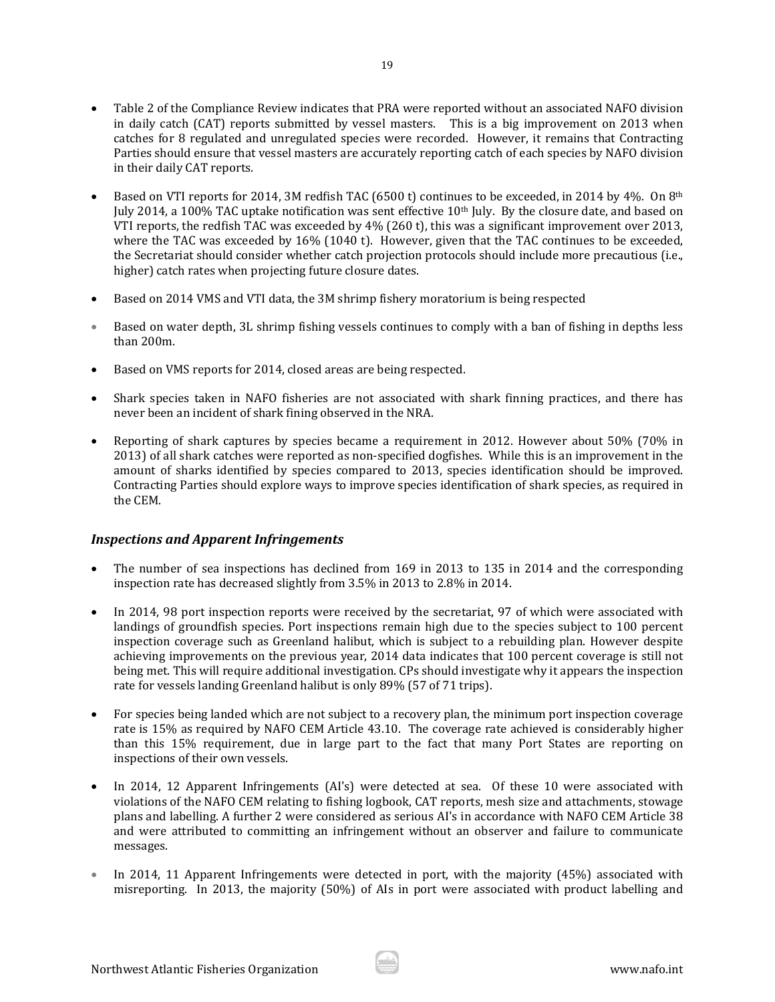- Table 2 of the Compliance Review indicates that PRA were reported without an associated NAFO division in daily catch (CAT) reports submitted by vessel masters. This is a big improvement on 2013 when catches for 8 regulated and unregulated species were recorded. However, it remains that Contracting Parties should ensure that vessel masters are accurately reporting catch of each species by NAFO division in their daily CAT reports.
- Based on VTI reports for 2014, 3M redfish TAC (6500 t) continues to be exceeded, in 2014 by 4%. On 8<sup>th</sup> July 2014, a 100% TAC uptake notification was sent effective  $10<sup>th</sup>$  July. By the closure date, and based on VTI reports, the redfish TAC was exceeded by  $4\%$  (260 t), this was a significant improvement over 2013, where the TAC was exceeded by  $16\%$  (1040 t). However, given that the TAC continues to be exceeded, the Secretariat should consider whether catch projection protocols should include more precautious (i.e., higher) catch rates when projecting future closure dates.
- Based on 2014 VMS and VTI data, the 3M shrimp fishery moratorium is being respected
- Based on water depth, 3L shrimp fishing vessels continues to comply with a ban of fishing in depths less than 200m.
- Based on VMS reports for 2014, closed areas are being respected.
- Shark species taken in NAFO fisheries are not associated with shark finning practices, and there has never been an incident of shark fining observed in the NRA.
- Reporting of shark captures by species became a requirement in 2012. However about 50% (70% in 2013) of all shark catches were reported as non-specified dogfishes. While this is an improvement in the amount of sharks identified by species compared to 2013, species identification should be improved. Contracting Parties should explore ways to improve species identification of shark species, as required in the CEM.

### *Inspections and Apparent Infringements*

- The number of sea inspections has declined from 169 in 2013 to 135 in 2014 and the corresponding inspection rate has decreased slightly from 3.5% in 2013 to 2.8% in 2014.
- In 2014, 98 port inspection reports were received by the secretariat, 97 of which were associated with landings of groundfish species. Port inspections remain high due to the species subject to 100 percent inspection coverage such as Greenland halibut, which is subject to a rebuilding plan. However despite achieving improvements on the previous year, 2014 data indicates that 100 percent coverage is still not being met. This will require additional investigation. CPs should investigate why it appears the inspection rate for vessels landing Greenland halibut is only 89% (57 of 71 trips).
- For species being landed which are not subject to a recovery plan, the minimum port inspection coverage rate is 15% as required by NAFO CEM Article 43.10. The coverage rate achieved is considerably higher than this 15% requirement, due in large part to the fact that many Port States are reporting on inspections of their own vessels.
- In 2014, 12 Apparent Infringements (AI's) were detected at sea. Of these 10 were associated with violations of the NAFO CEM relating to fishing logbook, CAT reports, mesh size and attachments, stowage plans and labelling. A further 2 were considered as serious AI's in accordance with NAFO CEM Article 38 and were attributed to committing an infringement without an observer and failure to communicate messages.
- In 2014, 11 Apparent Infringements were detected in port, with the majority  $(45%)$  associated with misreporting. In 2013, the majority  $(50%)$  of AIs in port were associated with product labelling and